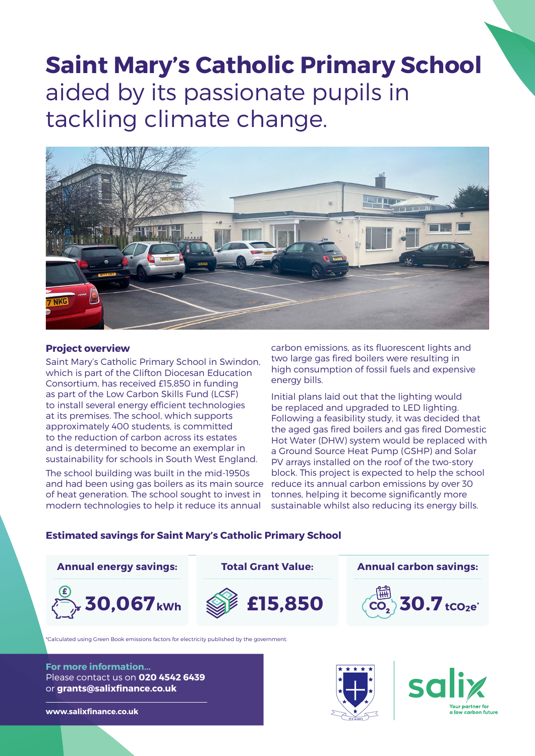# **Saint Mary's Catholic Primary School** aided by its passionate pupils in tackling climate change.



## **Project overview**

Saint Mary's Catholic Primary School in Swindon, which is part of the Clifton Diocesan Education Consortium, has received £15,850 in funding as part of the Low Carbon Skills Fund (LCSF) to install several energy efficient technologies at its premises. The school, which supports approximately 400 students, is committed to the reduction of carbon across its estates and is determined to become an exemplar in sustainability for schools in South West England.

The school building was built in the mid-1950s and had been using gas boilers as its main source of heat generation. The school sought to invest in modern technologies to help it reduce its annual

carbon emissions, as its fluorescent lights and two large gas fired boilers were resulting in high consumption of fossil fuels and expensive energy bills.

Initial plans laid out that the lighting would be replaced and upgraded to LED lighting. Following a feasibility study, it was decided that the aged gas fired boilers and gas fired Domestic Hot Water (DHW) system would be replaced with a Ground Source Heat Pump (GSHP) and Solar PV arrays installed on the roof of the two-story block. This project is expected to help the school reduce its annual carbon emissions by over 30 tonnes, helping it become significantly more sustainable whilst also reducing its energy bills.

#### **Estimated savings for Saint Mary's Catholic Primary School**



**For more information...** Please contact us on **020 4542 6439** or **grants@salixfinance.co.uk**

**www.salixfinance.co.uk**